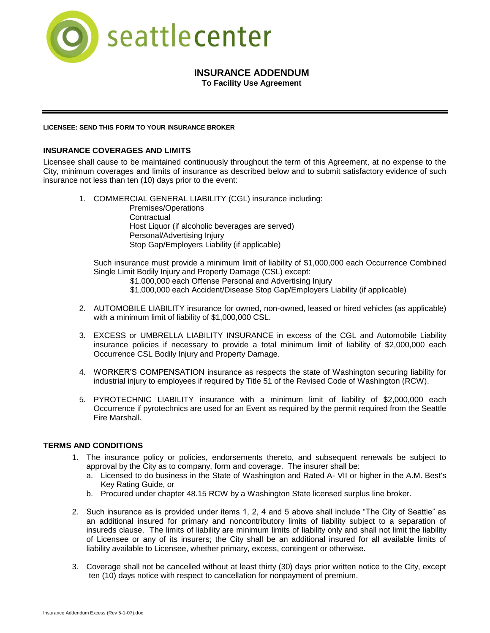

# **INSURANCE ADDENDUM**

**To Facility Use Agreement**

### **LICENSEE: SEND THIS FORM TO YOUR INSURANCE BROKER**

# **INSURANCE COVERAGES AND LIMITS**

Licensee shall cause to be maintained continuously throughout the term of this Agreement, at no expense to the City, minimum coverages and limits of insurance as described below and to submit satisfactory evidence of such insurance not less than ten (10) days prior to the event:

1. COMMERCIAL GENERAL LIABILITY (CGL) insurance including:

Premises/Operations **Contractual** Host Liquor (if alcoholic beverages are served) Personal/Advertising Injury Stop Gap/Employers Liability (if applicable)

Such insurance must provide a minimum limit of liability of \$1,000,000 each Occurrence Combined Single Limit Bodily Injury and Property Damage (CSL) except:

- \$1,000,000 each Offense Personal and Advertising Injury
- \$1,000,000 each Accident/Disease Stop Gap/Employers Liability (if applicable)
- 2. AUTOMOBILE LIABILITY insurance for owned, non-owned, leased or hired vehicles (as applicable) with a minimum limit of liability of \$1,000,000 CSL.
- 3. EXCESS or UMBRELLA LIABILITY INSURANCE in excess of the CGL and Automobile Liability insurance policies if necessary to provide a total minimum limit of liability of \$2,000,000 each Occurrence CSL Bodily Injury and Property Damage.
- 4. WORKER'S COMPENSATION insurance as respects the state of Washington securing liability for industrial injury to employees if required by Title 51 of the Revised Code of Washington (RCW).
- 5. PYROTECHNIC LIABILITY insurance with a minimum limit of liability of \$2,000,000 each Occurrence if pyrotechnics are used for an Event as required by the permit required from the Seattle Fire Marshall.

### **TERMS AND CONDITIONS**

- 1. The insurance policy or policies, endorsements thereto, and subsequent renewals be subject to approval by the City as to company, form and coverage. The insurer shall be:
	- a. Licensed to do business in the State of Washington and Rated A- VII or higher in the A.M. Best's Key Rating Guide, or
	- b. Procured under chapter 48.15 RCW by a Washington State licensed surplus line broker.
- 2. Such insurance as is provided under items 1, 2, 4 and 5 above shall include "The City of Seattle" as an additional insured for primary and noncontributory limits of liability subject to a separation of insureds clause. The limits of liability are minimum limits of liability only and shall not limit the liability of Licensee or any of its insurers; the City shall be an additional insured for all available limits of liability available to Licensee, whether primary, excess, contingent or otherwise.
- 3. Coverage shall not be cancelled without at least thirty (30) days prior written notice to the City, except ten (10) days notice with respect to cancellation for nonpayment of premium.